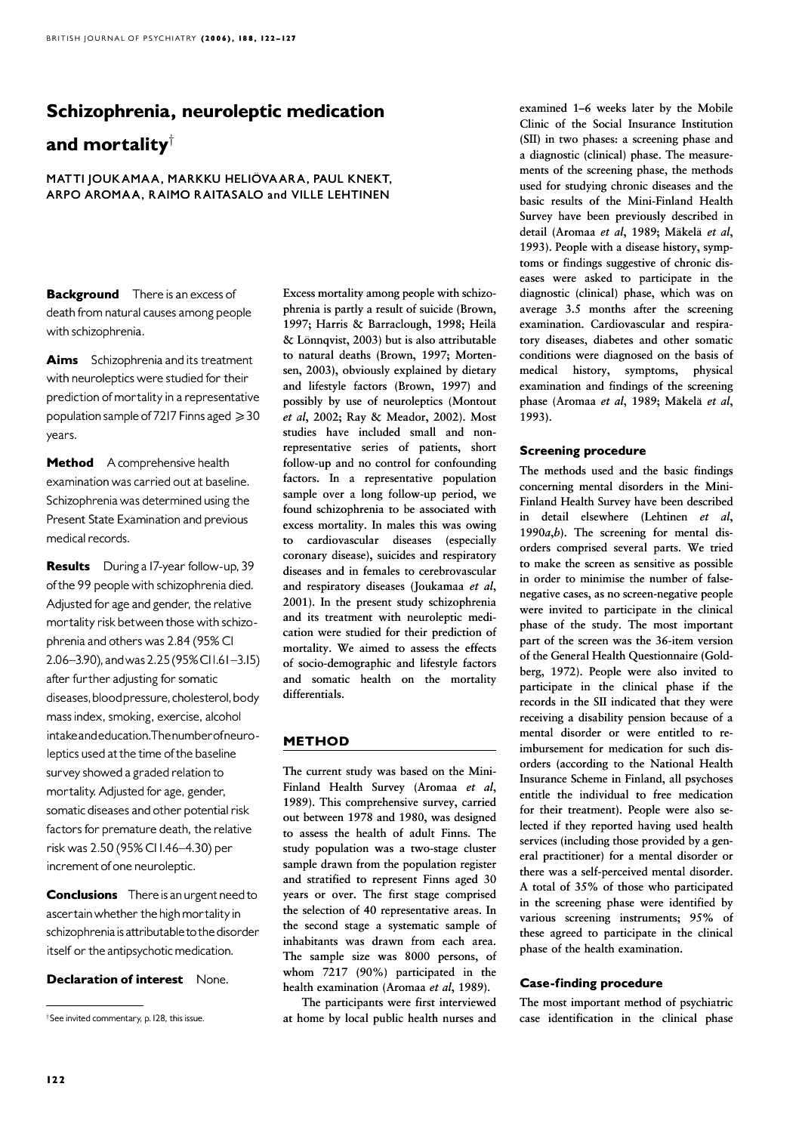# Schizophrenia, neuroleptic medication

# and mortality

MATTI JOUKAMAA, MARKKU HELIÖVAARA, PAUL KNEKT, ARPO AROMAA, RAIMO RAITASALO and VILLE LEHTINEN

**Background** There is an excess of death from natural causes among people with schizophrenia.

Aims Schizophrenia and its treatment with neuroleptics were studied for their prediction of mortality in a representative population sample of 7217 Finns aged  $\geqslant$  30 years.

Method A comprehensive health examination was carried out at baseline. Schizophrenia was determined using the Present State Examination and previous medical records.

Results During a I7-year follow-up, 39 of the 99 people with schizophrenia died. Adjusted for age and gender, the relative mortality risk between those with schizophrenia and others was 2.84 (95% CI 2.06-3.90), and was 2.25 (95% CI1.61-3.15) after further adjusting for somatic diseases, blood pressure, cholesterol, body massindex, smoking, exercise, alcohol intakeandeducation.Thenumberofneuroleptics used at the time of the baseline survey showed a graded relation to mortality. Adjusted for age, gender, somatic diseases and other potential risk factors for premature death, the relative risk was 2.50 (95% CI1.46^4.30) per increment of one neuroleptic.

**Conclusions** There is an urgent need to ascertain whether the high mortality in schizophrenia is attributable to the disorder itself or the antipsychotic medication.

Declaration of interest None.

Excess mortality among people with schizophrenia is partly a result of suicide (Brown, 1997; Harris & Barraclough, 1998; Heila¨ & Lönnqvist, 2003) but is also attributable to natural deaths (Brown, 1997; Mortensen, 2003), obviously explained by dietary and lifestyle factors (Brown, 1997) and possibly by use of neuroleptics (Montout et al, 2002; Ray & Meador, 2002). Most studies have included small and nonrepresentative series of patients, short follow-up and no control for confounding factors. In a representative population sample over a long follow-up period, we found schizophrenia to be associated with excess mortality. In males this was owing to cardiovascular diseases (especially coronary disease), suicides and respiratory diseases and in females to cerebrovascular and respiratory diseases (Joukamaa et al, 2001). In the present study schizophrenia and its treatment with neuroleptic medication were studied for their prediction of mortality. We aimed to assess the effects of socio-demographic and lifestyle factors and somatic health on the mortality differentials.

# METHOD

The current study was based on the Mini-Finland Health Survey (Aromaa et al, 1989). This comprehensive survey, carried out between 1978 and 1980, was designed to assess the health of adult Finns. The study population was a two-stage cluster sample drawn from the population register and stratified to represent Finns aged 30 years or over. The first stage comprised the selection of 40 representative areas. In the second stage a systematic sample of inhabitants was drawn from each area. The sample size was 8000 persons, of whom 7217 (90%) participated in the health examination (Aromaa et al, 1989).

The participants were first interviewed at home by local public health nurses and examined 1–6 weeks later by the Mobile Clinic of the Social Insurance Institution (SII) in two phases: a screening phase and a diagnostic (clinical) phase. The measurements of the screening phase, the methods used for studying chronic diseases and the basic results of the Mini-Finland Health Survey have been previously described in detail (Aromaa et al, 1989; Mäkelä et al, 1993). People with a disease history, symptoms or findings suggestive of chronic diseases were asked to participate in the diagnostic (clinical) phase, which was on average 3.5 months after the screening examination. Cardiovascular and respiratory diseases, diabetes and other somatic conditions were diagnosed on the basis of medical history, symptoms, physical examination and findings of the screening phase (Aromaa et al, 1989; Mäkelä et al, 1993).

# Screening procedure

The methods used and the basic findings concerning mental disorders in the Mini-Finland Health Survey have been described in detail elsewhere (Lehtinen et al, 1990a,b). The screening for mental disorders comprised several parts. We tried to make the screen as sensitive as possible in order to minimise the number of falsenegative cases, as no screen-negative people were invited to participate in the clinical phase of the study. The most important part of the screen was the 36-item version of the General Health Questionnaire (Goldberg, 1972). People were also invited to participate in the clinical phase if the records in the SII indicated that they were receiving a disability pension because of a mental disorder or were entitled to reimbursement for medication for such disorders (according to the National Health Insurance Scheme in Finland, all psychoses entitle the individual to free medication for their treatment). People were also selected if they reported having used health services (including those provided by a general practitioner) for a mental disorder or there was a self-perceived mental disorder. A total of 35% of those who participated in the screening phase were identified by various screening instruments; 95% of these agreed to participate in the clinical phase of the health examination.

## Case-finding procedure

The most important method of psychiatric case identification in the clinical phase

<sup>&</sup>lt;sup>†</sup> See invited commentary, p. 128, this issue.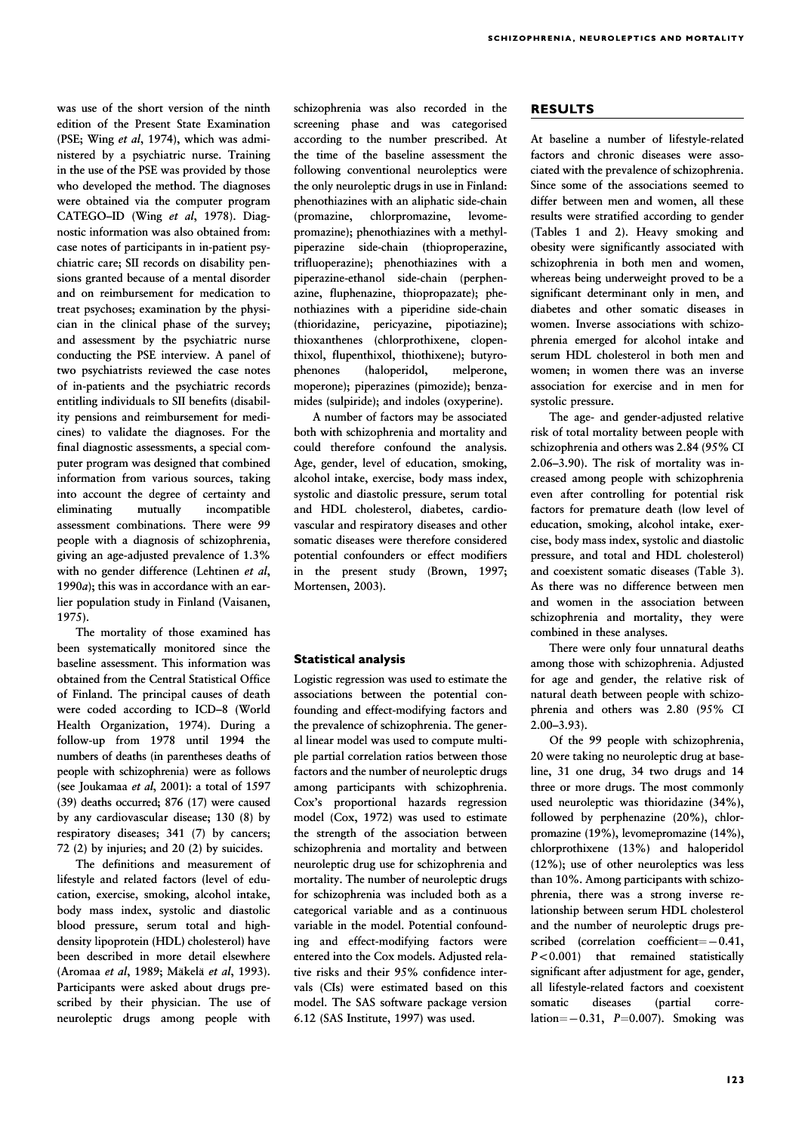was use of the short version of the ninth edition of the Present State Examination (PSE; Wing et al, 1974), which was administered by a psychiatric nurse. Training in the use of the PSE was provided by those who developed the method. The diagnoses were obtained via the computer program CATEGO-ID (Wing et al, 1978). Diagnostic information was also obtained from: case notes of participants in in-patient psychiatric care; SII records on disability pensions granted because of a mental disorder and on reimbursement for medication to treat psychoses; examination by the physician in the clinical phase of the survey; and assessment by the psychiatric nurse conducting the PSE interview. A panel of two psychiatrists reviewed the case notes of in-patients and the psychiatric records entitling individuals to SII benefits (disability pensions and reimbursement for medicines) to validate the diagnoses. For the final diagnostic assessments, a special computer program was designed that combined information from various sources, taking into account the degree of certainty and eliminating mutually incompatible assessment combinations. There were 99 people with a diagnosis of schizophrenia, giving an age-adjusted prevalence of 1.3% with no gender difference (Lehtinen et al, 1990a); this was in accordance with an earlier population study in Finland (Vaisanen, 1975).

The mortality of those examined has been systematically monitored since the baseline assessment. This information was obtained from the Central Statistical Office of Finland. The principal causes of death were coded according to ICD–8 (World Health Organization, 1974). During a follow-up from 1978 until 1994 the numbers of deaths (in parentheses deaths of people with schizophrenia) were as follows (see Joukamaa et al, 2001): a total of  $1597$ (39) deaths occurred;  $876$  (17) were caused by any cardiovascular disease; 130 (8) by by respiratory diseases; 341 (7) by cancers; 72 (2) by injuries; and 20 (2) by suicides.

The definitions and measurement of lifestyle and related factors (level of education, exercise, smoking, alcohol intake, body mass index, systolic and diastolic blood pressure, serum total and highdensity lipoprotein (HDL) cholesterol) have been described in more detail elsewhere (Aromaa et al, 1989; Mäkelä et al, 1993). Participants were asked about drugs prescribed by their physician. The use of neuroleptic drugs among people with

schizophrenia was also recorded in the screening phase and was categorised according to the number prescribed. At the time of the baseline assessment the following conventional neuroleptics were the only neuroleptic drugs in use in Finland: phenothiazines with an aliphatic side-chain (promazine, chlorpromazine, levome- levomepromazine); phenothiazines with a methylpiperazine side-chain (thioproperazine, trifluoperazine); phenothiazines with a piperazine-ethanol side-chain (perphen- (perphenazine, fluphenazine, thiopropazate); phenothiazines with a piperidine side-chain (thioridazine, pericyazine, pipotiazine); thioxanthenes (chlorprothixene, clopenthixol, flupenthixol, thiothixene); butyrophenones (haloperidol, melperone, moperone); piperazines (pimozide); benzamides (sulpiride); and indoles (oxyperine).

A number of factors may be associated both with schizophrenia and mortality and could therefore confound the analysis. Age, gender, level of education, smoking, alcohol intake, exercise, body mass index, systolic and diastolic pressure, serum total and HDL cholesterol, diabetes, cardiovascular and respiratory diseases and other somatic diseases were therefore considered potential confounders or effect modifiers in the present study (Brown, 1997; Mortensen, 2003).

#### Statistical analysis

Logistic regression was used to estimate the associations between the potential confounding and effect-modifying factors and the prevalence of schizophrenia. The general linear model was used to compute multiple partial correlation ratios between those factors and the number of neuroleptic drugs among participants with schizophrenia. Cox's proportional hazards regression model (Cox, 1972) was used to estimate the strength of the association between schizophrenia and mortality and between neuroleptic drug use for schizophrenia and mortality. The number of neuroleptic drugs for schizophrenia was included both as a categorical variable and as a continuous variable in the model. Potential confounding and effect-modifying factors were entered into the Cox models. Adjusted relative risks and their 95% confidence intervals (CIs) were estimated based on this model. The SAS software package version 6.12 (SAS Institute, 1997) was used.

## RESULTS

At baseline a number of lifestyle-related factors and chronic diseases were associated with the prevalence of schizophrenia. Since some of the associations seemed to differ between men and women, all these results were stratified according to gender (Tables 1 and 2). Heavy smoking and obesity were significantly associated with schizophrenia in both men and women, whereas being underweight proved to be a significant determinant only in men, and diabetes and other somatic diseases in women. Inverse associations with schizophrenia emerged for alcohol intake and serum HDL cholesterol in both men and women; in women there was an inverse association for exercise and in men for systolic pressure.

The age- and gender-adjusted relative risk of total mortality between people with schizophrenia and others was 2.84 (95% CI 2.06–3.90). The risk of mortality was increased among people with schizophrenia even after controlling for potential risk factors for premature death (low level of education, smoking, alcohol intake, exercise, body mass index, systolic and diastolic pressure, and total and HDL cholesterol) and coexistent somatic diseases (Table 3). As there was no difference between men and women in the association between schizophrenia and mortality, they were combined in these analyses.

There were only four unnatural deaths among those with schizophrenia. Adjusted for age and gender, the relative risk of natural death between people with schizophrenia and others was 2.80 (95% CI 2.00–3.93).

Of the 99 people with schizophrenia, 20 were taking no neuroleptic drug at baseline, 31 one drug, 34 two drugs and 14 three or more drugs. The most commonly used neuroleptic was thioridazine (34%), followed by perphenazine (20%), chlorpromazine  $(19\%)$ , levomepromazine  $(14\%)$ , chlorprothixene (13%) and haloperidol (12%); use of other neuroleptics was less than 10%. Among participants with schizophrenia, there was a strong inverse relationship between serum HDL cholesterol and the number of neuroleptic drugs prescribed (correlation coefficient $=-0.41$ ,  $P < 0.001$ ) that remained statistically significant after adjustment for age, gender, all lifestyle-related factors and coexistent somatic diseases (partial correlation= $-0.31$ , P=0.007). Smoking was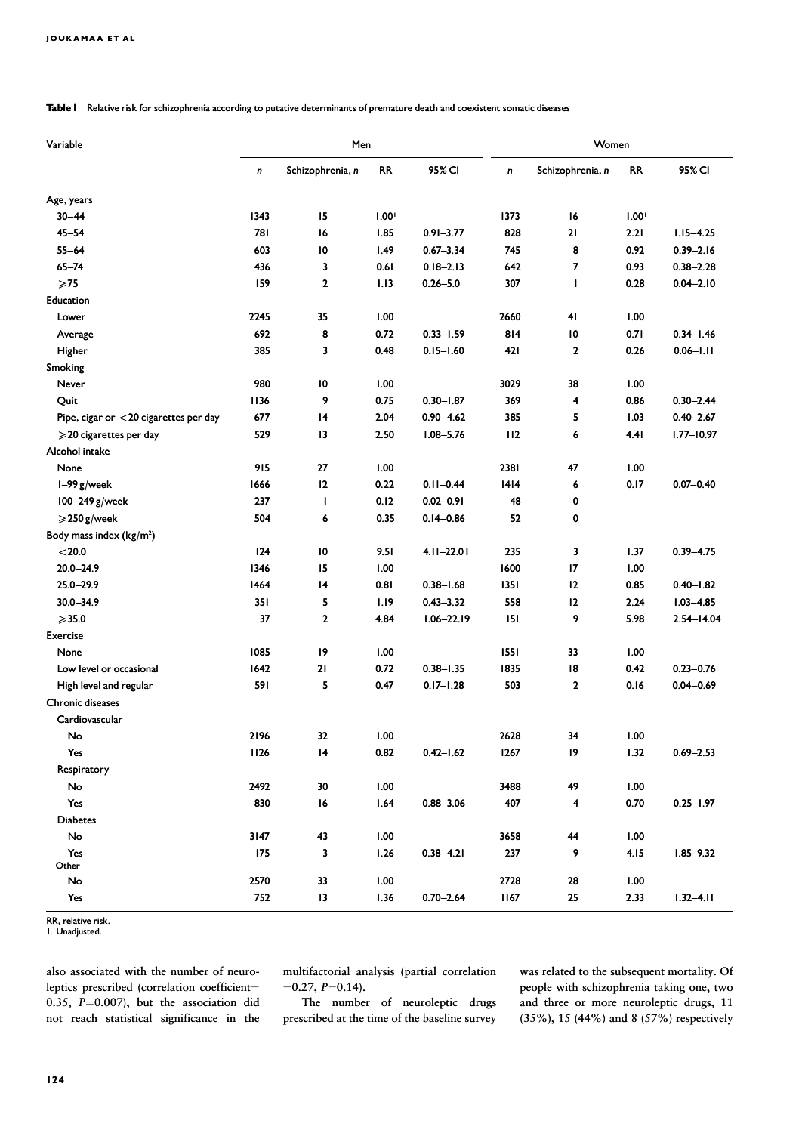Table I Relative risk for schizophrenia according to putative determinants of premature death and coexistent somatic diseases

| Variable                               | Men  |                  |                   |                | Women     |                         |                   |                |
|----------------------------------------|------|------------------|-------------------|----------------|-----------|-------------------------|-------------------|----------------|
|                                        | n    | Schizophrenia, n | RR                | 95% CI         | $\pmb{n}$ | Schizophrenia, n        | RR                | 95% CI         |
| Age, years                             |      |                  |                   |                |           |                         |                   |                |
| $30 - 44$                              | 1343 | 15               | 1.00 <sup>1</sup> |                | 1373      | 16                      | 1.00 <sup>1</sup> |                |
| $45 - 54$                              | 781  | 16               | 1.85              | $0.91 - 3.77$  | 828       | 21                      | 2.21              | $1.15 - 4.25$  |
| $55 - 64$                              | 603  | 10               | 1.49              | $0.67 - 3.34$  | 745       | 8                       | 0.92              | $0.39 - 2.16$  |
| $65 - 74$                              | 436  | 3                | 0.61              | $0.18 - 2.13$  | 642       | 7                       | 0.93              | $0.38 - 2.28$  |
| $\geqslant$ 75                         | 159  | $\mathbf{2}$     | 1.13              | $0.26 - 5.0$   | 307       | T                       | 0.28              | $0.04 - 2.10$  |
| Education                              |      |                  |                   |                |           |                         |                   |                |
| Lower                                  | 2245 | 35               | 1.00              |                | 2660      | 41                      | 1.00              |                |
| Average                                | 692  | 8                | 0.72              | $0.33 - 1.59$  | 814       | 10                      | 0.71              | $0.34 - 1.46$  |
| Higher                                 | 385  | 3                | 0.48              | $0.15 - 1.60$  | 421       | $\mathbf{2}$            | 0.26              | $0.06 - 1.11$  |
| Smoking                                |      |                  |                   |                |           |                         |                   |                |
| Never                                  | 980  | $\overline{10}$  | 1.00              |                | 3029      | 38                      | 1.00              |                |
| Quit                                   | 1136 | 9                | 0.75              | $0.30 - 1.87$  | 369       | 4                       | 0.86              | $0.30 - 2.44$  |
| Pipe, cigar or < 20 cigarettes per day | 677  | 4                | 2.04              | $0.90 - 4.62$  | 385       | 5                       | 1.03              | $0.40 - 2.67$  |
| $\geqslant$ 20 cigarettes per day      | 529  | 13               | 2.50              | $1.08 - 5.76$  | 112       | 6                       | 4.41              | $1.77 - 10.97$ |
| Alcohol intake                         |      |                  |                   |                |           |                         |                   |                |
| None                                   | 915  | 27               | 1.00              |                | 2381      | 47                      | 1.00              |                |
| $I-99 g/$ week                         | 1666 | 12               | 0.22              | $0.11 - 0.44$  | 1414      | 6                       | 0.17              | $0.07 - 0.40$  |
| 100-249 g/week                         | 237  | $\mathbf{I}$     | 0.12              | $0.02 - 0.91$  | 48        | 0                       |                   |                |
| $\geqslant$ 250 g/week                 | 504  | 6                | 0.35              | $0.14 - 0.86$  | 52        | 0                       |                   |                |
| Body mass index $(kg/m^2)$             |      |                  |                   |                |           |                         |                   |                |
| < 20.0                                 | 124  | $\overline{10}$  | 9.51              | $4.11 - 22.01$ | 235       | 3                       | 1.37              | $0.39 - 4.75$  |
| $20.0 - 24.9$                          | 1346 | 15               | 1.00              |                | 1600      | 17                      | 1.00              |                |
| $25.0 - 29.9$                          | 1464 | 4                | 0.81              | $0.38 - 1.68$  | 1351      | 12                      | 0.85              | $0.40 - 1.82$  |
| $30.0 - 34.9$                          | 351  | 5                | 1.19              | $0.43 - 3.32$  | 558       | 12                      | 2.24              | $1.03 - 4.85$  |
| $\geqslant$ 35.0                       | 37   | $\mathbf{2}$     | 4.84              | $1.06 - 22.19$ | 151       | 9                       | 5.98              | $2.54 - 14.04$ |
| <b>Exercise</b>                        |      |                  |                   |                |           |                         |                   |                |
| None                                   | 1085 | 9                | 1.00              |                | 1551      | 33                      | 1.00              |                |
| Low level or occasional                | 1642 | 21               | 0.72              | $0.38 - 1.35$  | 1835      | 18                      | 0.42              | $0.23 - 0.76$  |
| High level and regular                 | 591  | 5                | 0.47              | $0.17 - 1.28$  | 503       | $\mathbf{2}$            | 0.16              | $0.04 - 0.69$  |
| <b>Chronic diseases</b>                |      |                  |                   |                |           |                         |                   |                |
| Cardiovascular                         |      |                  |                   |                |           |                         |                   |                |
| No                                     | 2196 | 32               | 1.00              |                | 2628      | 34                      | 1.00              |                |
| Yes                                    | 1126 | $\overline{14}$  | 0.82              | $0.42 - 1.62$  | 1267      | $ 9\rangle$             | 1.32              | $0.69 - 2.53$  |
| Respiratory                            |      |                  |                   |                |           |                         |                   |                |
| No                                     | 2492 | 30               | 1.00              |                | 3488      | 49                      | 1.00              |                |
| Yes                                    | 830  | 16               | 1.64              | $0.88 - 3.06$  | 407       | $\overline{\mathbf{4}}$ | 0.70              | $0.25 - 1.97$  |
| <b>Diabetes</b>                        |      |                  |                   |                |           |                         |                   |                |
| No                                     | 3147 | 43               | 1.00              |                | 3658      | 44                      | 1.00              |                |
| Yes                                    | 175  | 3                | 1.26              | $0.38 - 4.21$  | 237       | 9                       | 4.15              | $1.85 - 9.32$  |
| Other                                  |      |                  |                   |                |           |                         |                   |                |
| No                                     | 2570 | 33               | 1.00              |                | 2728      | 28                      | 1.00              |                |
| Yes                                    | 752  | $\overline{13}$  | 1.36              | $0.70 - 2.64$  | 1167      | 25                      | 2.33              | $1.32 - 4.11$  |

RR, relative risk. 1. Unadjusted.

also associated with the number of neuroleptics prescribed (correlation coefficient= 0.35,  $P=0.007$ ), but the association did not reach statistical significance in the multifactorial analysis (partial correlation  $=0.27, P=0.14$ .

The number of neuroleptic drugs prescribed at the time of the baseline survey was related to the subsequent mortality. Of people with schizophrenia taking one, two and three or more neuroleptic drugs, 11 (35%), 15 (44%) and 8 (57%) respectively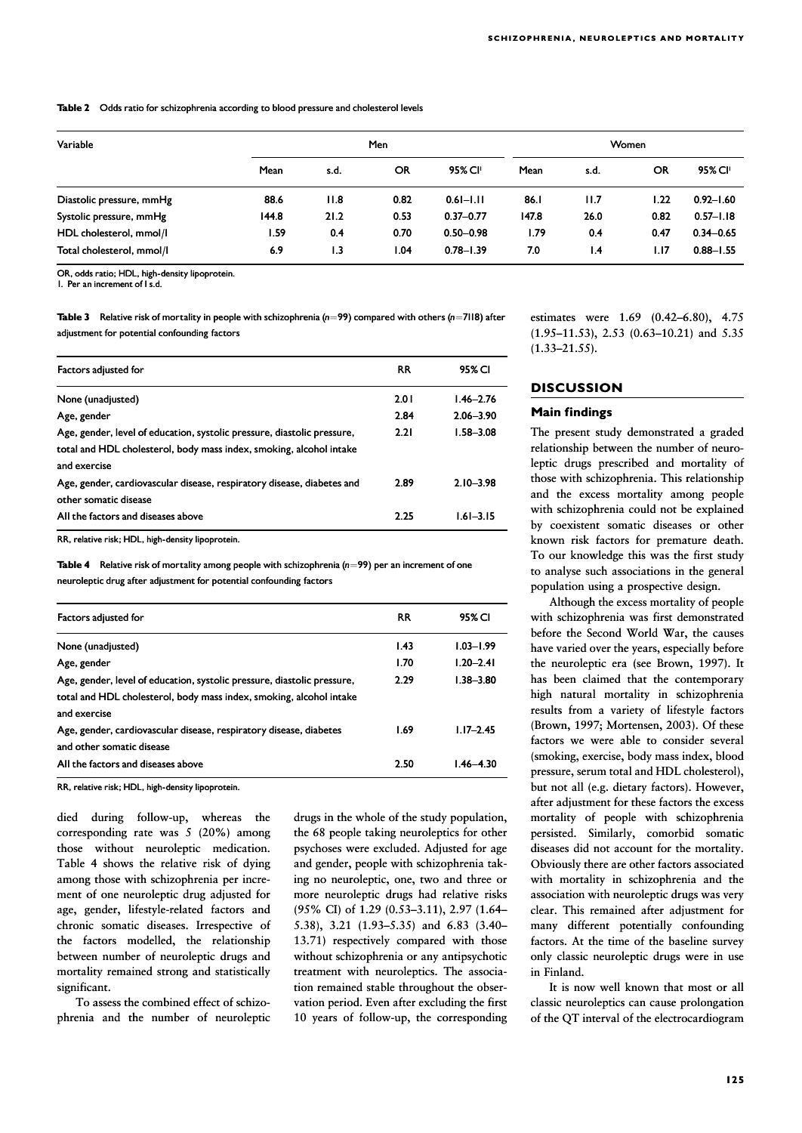Table 2 Odds ratio for schizophrenia according to blood pressure and cholesterol levels

| Variable                  |       | Men  |           |               |       | <b>Women</b> |           |               |  |
|---------------------------|-------|------|-----------|---------------|-------|--------------|-----------|---------------|--|
|                           | Mean  | s.d. | <b>OR</b> | 95% CI'       | Mean  | s.d.         | <b>OR</b> | 95% CI'       |  |
| Diastolic pressure, mmHg  | 88.6  | 11.8 | 0.82      | $0.61 - 1.11$ | 86.I  | II.7         | 1.22      | $0.92 - 1.60$ |  |
| Systolic pressure, mmHg   | 144.8 | 21.2 | 0.53      | $0.37 - 0.77$ | 147.8 | 26.0         | 0.82      | $0.57 - 1.18$ |  |
| HDL cholesterol, mmol/l   | 1.59  | 0.4  | 0.70      | $0.50 - 0.98$ | 1.79  | 0.4          | 0.47      | $0.34 - 0.65$ |  |
| Total cholesterol, mmol/l | 6.9   | 1.3  | 1.04      | $0.78 - 1.39$ | 7.0   | 1.4          | I.I7      | $0.88 - 1.55$ |  |

OR, odds ratio; HDL, high-density lipoprotein. OR, odds ratio;

1. Per an increment of I s.d.

Table 3 Relative risk of mortality in people with schizophrenia ( $n=99$ ) compared with others ( $n=7118$ ) after adjustment for potential confounding factors

| Factors adjusted for                                                                            | <b>RR</b> | 95% CI        |
|-------------------------------------------------------------------------------------------------|-----------|---------------|
| None (unadjusted)                                                                               | 2.01      | $1.46 - 2.76$ |
| Age, gender                                                                                     | 2.84      | $2.06 - 3.90$ |
| Age, gender, level of education, systolic pressure, diastolic pressure,                         | 2.21      | $1.58 - 3.08$ |
| total and HDL cholesterol, body mass index, smoking, alcohol intake<br>and exercise             |           |               |
| Age, gender, cardiovascular disease, respiratory disease, diabetes and<br>other somatic disease | 2.89      | $2.10 - 3.98$ |
| All the factors and diseases above                                                              | 2.25      | $1.61 - 3.15$ |

RR, relative risk; HDL, high-density lipoprotein.

Table 4 Relative risk of mortality among people with schizophrenia  $(n=99)$  per an increment of one neuroleptic drug after adjustment for potential confounding factors

| Factors adjusted for                                                                            | <b>RR</b> | 95% CI        |
|-------------------------------------------------------------------------------------------------|-----------|---------------|
| None (unadjusted)                                                                               | 1.43      | $1.03 - 1.99$ |
| Age, gender                                                                                     | 1.70      | $1.20 - 2.41$ |
| Age, gender, level of education, systolic pressure, diastolic pressure,                         | 2.29      | $1.38 - 3.80$ |
| total and HDL cholesterol, body mass index, smoking, alcohol intake<br>and exercise             |           |               |
| Age, gender, cardiovascular disease, respiratory disease, diabetes<br>and other somatic disease | 1.69      | $1.17 - 2.45$ |
| All the factors and diseases above                                                              | 2.50      | $1.46 - 4.30$ |

RR, relative risk; HDL, high-density lipoprotein.

died during follow-up, whereas the corresponding rate was  $5$  (20%) among those without neuroleptic medication. Table 4 shows the relative risk of dying among those with schizophrenia per increment of one neuroleptic drug adjusted for age, gender, lifestyle-related factors and chronic somatic diseases. Irrespective of the factors modelled, the relationship between number of neuroleptic drugs and mortality remained strong and statistically significant.

To assess the combined effect of schizophrenia and the number of neuroleptic drugs in the whole of the study population, the 68 people taking neuroleptics for other psychoses were excluded. Adjusted for age and gender, people with schizophrenia taking no neuroleptic, one, two and three or more neuroleptic drugs had relative risks (95% CI) of 1.29 (0.53–3.11), 2.97 (1.64– 5.38), 3.21 (1.93–5.35) and 6.83 (3.40– 13.71) respectively compared with those without schizophrenia or any antipsychotic treatment with neuroleptics. The association remained stable throughout the observation period. Even after excluding the first 10 years of follow-up, the corresponding estimates were 1.69 (0.42–6.80), 4.75 (1.95–11.53), 2.53 (0.63–10.21) and 5.35 (1.33–21.55).

# **DISCUSSION**

#### **Main findings**

The present study demonstrated a graded relationship between the number of neuroleptic drugs prescribed and mortality of those with schizophrenia. This relationship and the excess mortality among people with schizophrenia could not be explained by coexistent somatic diseases or other known risk factors for premature death. To our knowledge this was the first study to analyse such associations in the general population using a prospective design.

Although the excess mortality of people with schizophrenia was first demonstrated before the Second World War, the causes have varied over the years, especially before the neuroleptic era (see Brown, 1997). It has been claimed that the contemporary high natural mortality in schizophrenia results from a variety of lifestyle factors (Brown, 1997; Mortensen, 2003). Of these factors we were able to consider several (smoking, exercise, body mass index, blood pressure, serum total and HDL cholesterol), but not all (e.g. dietary factors). However, after adjustment for these factors the excess mortality of people with schizophrenia persisted. Similarly, comorbid somatic diseases did not account for the mortality. Obviously there are other factors associated with mortality in schizophrenia and the association with neuroleptic drugs was very clear. This remained after adjustment for many different potentially confounding factors. At the time of the baseline survey only classic neuroleptic drugs were in use in Finland.

It is now well known that most or all classic neuroleptics can cause prolongation of the QT interval of the electrocardiogram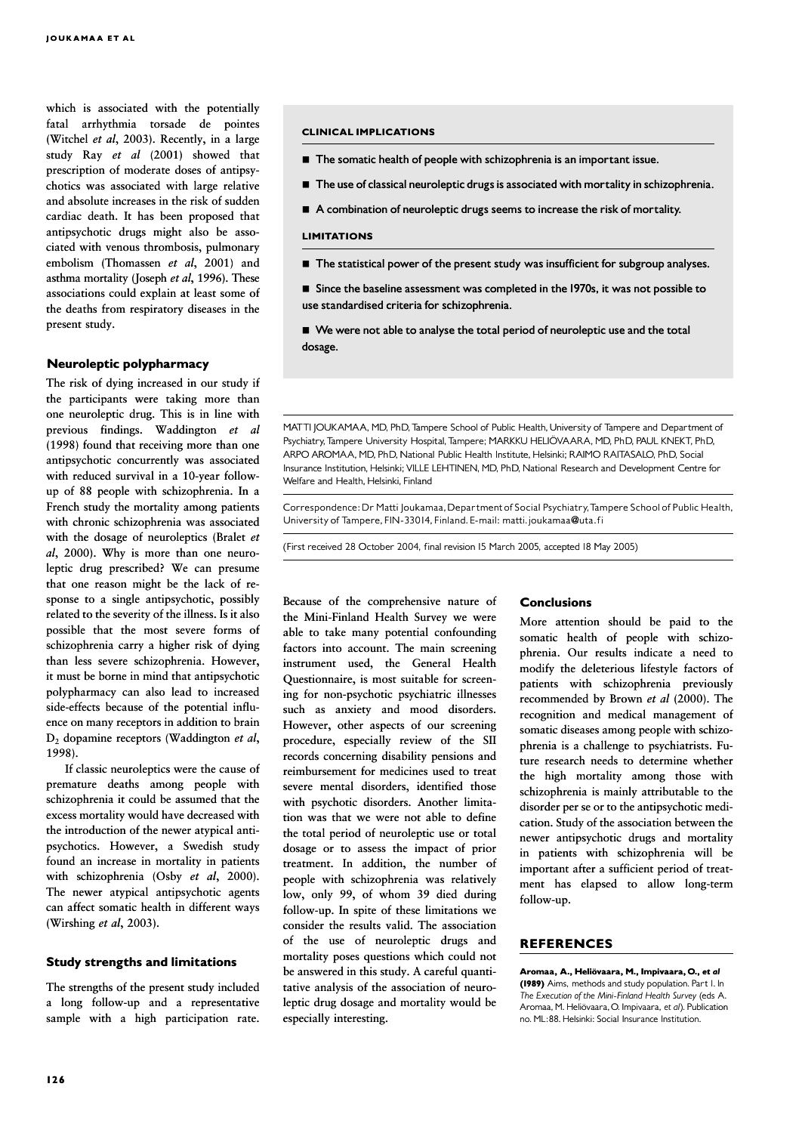which is associated with the potentially fatal arrhythmia torsade de pointes (Witchel et al, 2003). Recently, in a large study Ray et al (2001) showed that prescription of moderate doses of antipsychotics was associated with large relative and absolute increases in the risk of sudden cardiac death. It has been proposed that antipsychotic drugs might also be associated with venous thrombosis, pulmonary embolism (Thomassen et al, 2001) and asthma mortality (Joseph  $et$  al, 1996). These associations could explain at least some of the deaths from respiratory diseases in the present study.

#### Neuroleptic polypharmacy

The risk of dying increased in our study if the participants were taking more than one neuroleptic drug. This is in line with previous findings. Waddington et al (1998) found that receiving more than one antipsychotic concurrently was associated with reduced survival in a 10-year followup of 88 people with schizophrenia. In a French study the mortality among patients with chronic schizophrenia was associated with the dosage of neuroleptics (Bralet  $et$ al, 2000). Why is more than one neuroleptic drug prescribed? We can presume that one reason might be the lack of response to a single antipsychotic, possibly related to the severity of the illness. Is it also possible that the most severe forms of schizophrenia carry a higher risk of dying than less severe schizophrenia. However, it must be borne in mind that antipsychotic polypharmacy can also lead to increased side-effects because of the potential influence on many receptors in addition to brain  $D<sub>2</sub>$  dopamine receptors (Waddington et al, 1998).

If classic neuroleptics were the cause of premature deaths among people with schizophrenia it could be assumed that the excess mortality would have decreased with the introduction of the newer atypical antipsychotics. However, a Swedish study found an increase in mortality in patients with schizophrenia (Osby et al, 2000). The newer atypical antipsychotic agents can affect somatic health in different ways (Wirshing et al, 2003).

#### Study strengths and limitations

The strengths of the present study included a long follow-up and a representative sample with a high participation rate.

#### CLINICAL IMPLICATIONS CLINICAL IMPLICATIONS

- $\blacksquare$  The somatic health of people with schizophrenia is an important issue.
- $\blacksquare$  The use of classical neuroleptic drugs is associated with mortality in schizophrenia.
- A combination of neuroleptic drugs seems to increase the risk of mortality.

#### LIMITATIONS

■ The statistical power of the present study was insufficient for subgroup analyses.

■ Since the baseline assessment was completed in the 1970s, it was not possible to use standardised criteria for schizophrenia.

■ We were not able to analyse the total period of neuroleptic use and the total dosage.

MATTI JOUKAMAA, MD, PhD, Tampere School of Public Health, University of Tampere and Department of Psychiatry, Tampere University Hospital, Tampere; MARKKU HELIÖVAARA, MD, PhD, PAUL KNEKT, PhD, ARPO AROMAA, MD, PhD, National Public Health Institute, Helsinki; RAIMO RAITASALO, PhD, Social ARPO AROMAA, National Public Insurance Institution, Helsinki; VILLE LEHTINEN, MD, PhD, National Research and Development Centre for Welfare and Health, Helsinki, Finland

Correspondence: Dr Matti Joukamaa, Department of Social Psychiatry, Tampere School of Public Health, University of Tampere, FIN-33014, Finland. E-mail: matti.joukamaa@uta.fi

(First received 28 October 2004, final revision 15 March 2005, accepted 18 May 2005)

Because of the comprehensive nature of the Mini-Finland Health Survey we were able to take many potential confounding factors into account. The main screening instrument used, the General Health Questionnaire, is most suitable for screening for non-psychotic psychiatric illnesses such as anxiety and mood disorders. However, other aspects of our screening procedure, especially review of the SII records concerning disability pensions and reimbursement for medicines used to treat severe mental disorders, identified those with psychotic disorders. Another limitation was that we were not able to define the total period of neuroleptic use or total dosage or to assess the impact of prior treatment. In addition, the number of people with schizophrenia was relatively low, only 99, of whom 39 died during follow-up. In spite of these limitations we consider the results valid. The association of the use of neuroleptic drugs and mortality poses questions which could not be answered in this study. A careful quantitative analysis of the association of neuroleptic drug dosage and mortality would be especially interesting.

#### Conclusions

More attention should be paid to the somatic health of people with schizophrenia. Our results indicate a need to modify the deleterious lifestyle factors of patients with schizophrenia previously recommended by Brown et al (2000). The recognition and medical management of somatic diseases among people with schizophrenia is a challenge to psychiatrists. Future research needs to determine whether the high mortality among those with schizophrenia is mainly attributable to the disorder per se or to the antipsychotic medication. Study of the association between the newer antipsychotic drugs and mortality in patients with schizophrenia will be important after a sufficient period of treatment has elapsed to allow long-term follow-up.

#### REFERENCES

Aromaa, A., Heliövaara, M., Impivaara, O., et al. (1989) Aims, methods and study population. Part I. In The Execution of the Mini-Finland Health Survey (eds A. Aromaa, M. Heliövaara, O. Impivaara, et al). Publication no. ML:88. Helsinki: Social Insurance Institution.